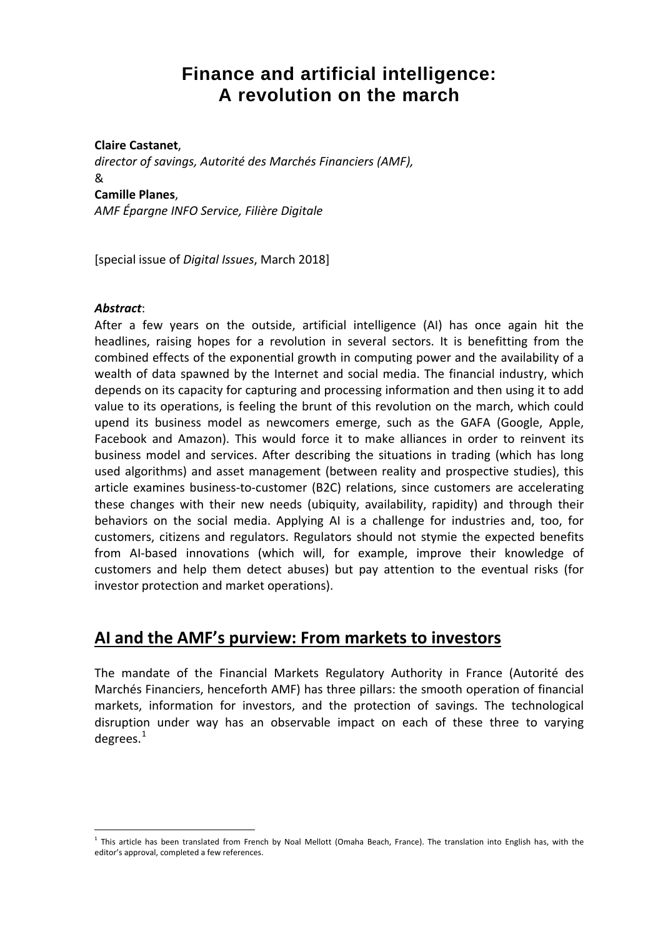# **Finance and artificial intelligence: A revolution on the march**

#### **Claire Castanet**,

*director of savings, Autorité des Marchés Financiers (AMF),*  & **Camille Planes**,

*AMF Épargne INFO Service, Filière Digitale*

[special issue of *Digital Issues*, March 2018]

#### *Abstract*:

After a few years on the outside, artificial intelligence (AI) has once again hit the headlines, raising hopes for a revolution in several sectors. It is benefitting from the combined effects of the exponential growth in computing power and the availability of a wealth of data spawned by the Internet and social media. The financial industry, which depends on its capacity for capturing and processing information and then using it to add value to its operations, is feeling the brunt of this revolution on the march, which could upend its business model as newcomers emerge, such as the GAFA (Google, Apple, Facebook and Amazon). This would force it to make alliances in order to reinvent its business model and services. After describing the situations in trading (which has long used algorithms) and asset management (between reality and prospective studies), this article examines business-to-customer (B2C) relations, since customers are accelerating these changes with their new needs (ubiquity, availability, rapidity) and through their behaviors on the social media. Applying AI is a challenge for industries and, too, for customers, citizens and regulators. Regulators should not stymie the expected benefits from AI-based innovations (which will, for example, improve their knowledge of customers and help them detect abuses) but pay attention to the eventual risks (for investor protection and market operations).

## **AI and the AMF's purview: From markets to investors**

The mandate of the Financial Markets Regulatory Authority in France (Autorité des Marchés Financiers, henceforth AMF) has three pillars: the smooth operation of financial markets, information for investors, and the protection of savings. The technological disruption under way has an observable impact on each of these three to varying degrees. $1$ 

<span id="page-0-0"></span> $<sup>1</sup>$  This article has been translated from French by Noal Mellott (Omaha Beach, France). The translation into English has, with the</sup> editor's approval, completed a few references.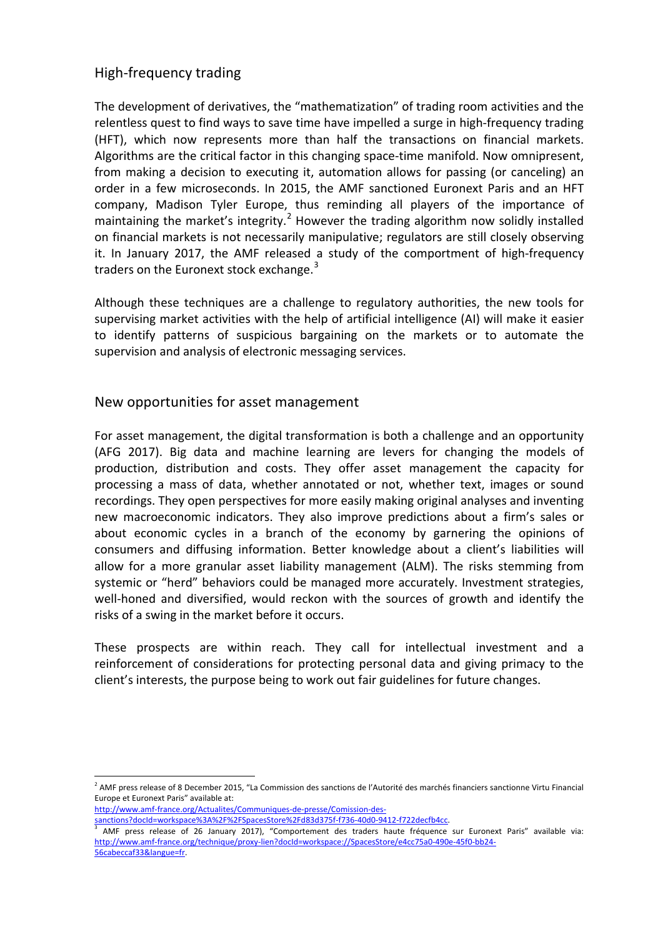## High-frequency trading

The development of derivatives, the "mathematization" of trading room activities and the relentless quest to find ways to save time have impelled a surge in high-frequency trading (HFT), which now represents more than half the transactions on financial markets. Algorithms are the critical factor in this changing space-time manifold. Now omnipresent, from making a decision to executing it, automation allows for passing (or canceling) an order in a few microseconds. In 2015, the AMF sanctioned Euronext Paris and an HFT company, Madison Tyler Europe, thus reminding all players of the importance of maintaining the market's integrity.<sup>[2](#page-1-0)</sup> However the trading algorithm now solidly installed on financial markets is not necessarily manipulative; regulators are still closely observing it. In January 2017, the AMF released a study of the comportment of high-frequency traders on the Euronext stock exchange.<sup>[3](#page-1-1)</sup>

Although these techniques are a challenge to regulatory authorities, the new tools for supervising market activities with the help of artificial intelligence (AI) will make it easier to identify patterns of suspicious bargaining on the markets or to automate the supervision and analysis of electronic messaging services.

### New opportunities for asset management

For asset management, the digital transformation is both a challenge and an opportunity (AFG 2017). Big data and machine learning are levers for changing the models of production, distribution and costs. They offer asset management the capacity for processing a mass of data, whether annotated or not, whether text, images or sound recordings. They open perspectives for more easily making original analyses and inventing new macroeconomic indicators. They also improve predictions about a firm's sales or about economic cycles in a branch of the economy by garnering the opinions of consumers and diffusing information. Better knowledge about a client's liabilities will allow for a more granular asset liability management (ALM). The risks stemming from systemic or "herd" behaviors could be managed more accurately. Investment strategies, well-honed and diversified, would reckon with the sources of growth and identify the risks of a swing in the market before it occurs.

These prospects are within reach. They call for intellectual investment and a reinforcement of considerations for protecting personal data and giving primacy to the client's interests, the purpose being to work out fair guidelines for future changes.

[http://www.amf-france.org/Actualites/Communiques-de-presse/Comission-des-](http://www.amf-france.org/Actualites/Communiques-de-presse/Comission-des-sanctions?docId=workspace%3A%2F%2FSpacesStore%2Fd83d375f-f736-40d0-9412-f722decfb4cc)

[sanctions?docId=workspace%3A%2F%2FSpacesStore%2Fd83d375f-f736-40d0-9412-f722decfb4cc.](http://www.amf-france.org/Actualites/Communiques-de-presse/Comission-des-sanctions?docId=workspace%3A%2F%2FSpacesStore%2Fd83d375f-f736-40d0-9412-f722decfb4cc)

<span id="page-1-0"></span><sup>2</sup> AMF press release of 8 December 2015, "La Commission des sanctions de l'Autorité des marchés financiers sanctionne Virtu Financial Europe et Euronext Paris" available at:

<span id="page-1-1"></span><sup>3</sup> AMF press release of 26 January 2017), "Comportement des traders haute fréquence sur Euronext Paris" available via: [http://www.amf-france.org/technique/proxy-lien?docId=workspace://SpacesStore/e4cc75a0-490e-45f0-bb24-](http://www.amf-france.org/technique/proxy-lien?docId=workspace://SpacesStore/e4cc75a0-490e-45f0-bb24-56cabeccaf33&langue=fr) [56cabeccaf33&langue=fr.](http://www.amf-france.org/technique/proxy-lien?docId=workspace://SpacesStore/e4cc75a0-490e-45f0-bb24-56cabeccaf33&langue=fr)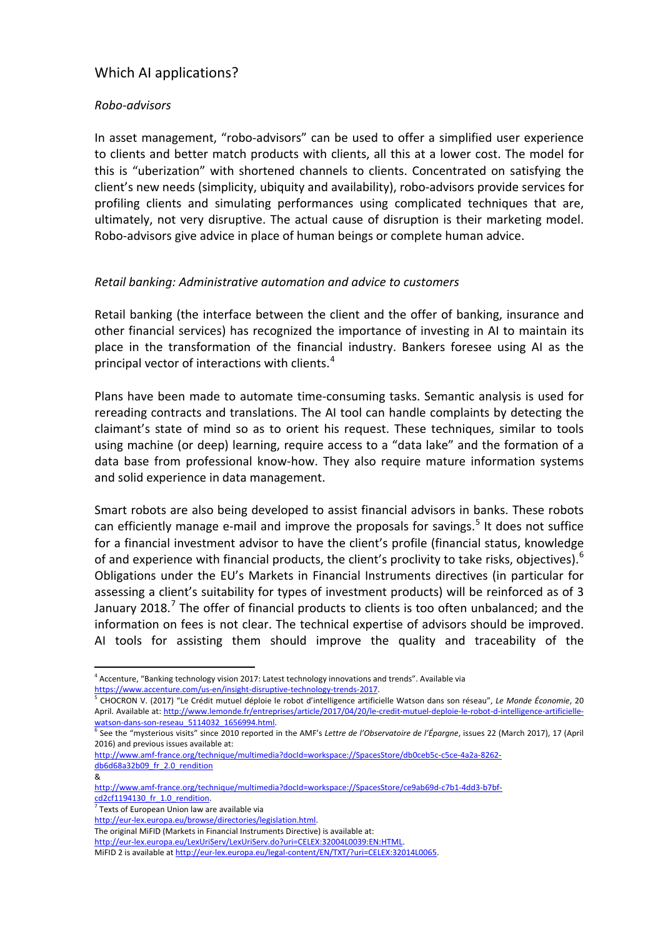## Which AI applications?

#### *Robo-advisors*

In asset management, "robo-advisors" can be used to offer a simplified user experience to clients and better match products with clients, all this at a lower cost. The model for this is "uberization" with shortened channels to clients. Concentrated on satisfying the client's new needs (simplicity, ubiquity and availability), robo-advisors provide services for profiling clients and simulating performances using complicated techniques that are, ultimately, not very disruptive. The actual cause of disruption is their marketing model. Robo-advisors give advice in place of human beings or complete human advice.

#### *Retail banking: Administrative automation and advice to customers*

Retail banking (the interface between the client and the offer of banking, insurance and other financial services) has recognized the importance of investing in AI to maintain its place in the transformation of the financial industry. Bankers foresee using AI as the principal vector of interactions with clients. $4$ 

Plans have been made to automate time-consuming tasks. Semantic analysis is used for rereading contracts and translations. The AI tool can handle complaints by detecting the claimant's state of mind so as to orient his request. These techniques, similar to tools using machine (or deep) learning, require access to a "data lake" and the formation of a data base from professional know-how. They also require mature information systems and solid experience in data management.

Smart robots are also being developed to assist financial advisors in banks. These robots can efficiently manage e-mail and improve the proposals for savings.<sup>[5](#page-2-1)</sup> It does not suffice for a financial investment advisor to have the client's profile (financial status, knowledge of and experience with financial products, the client's proclivity to take risks, objectives).<sup>[6](#page-2-2)</sup> Obligations under the EU's Markets in Financial Instruments directives (in particular for assessing a client's suitability for types of investment products) will be reinforced as of 3 January 2018.<sup>[7](#page-2-3)</sup> The offer of financial products to clients is too often unbalanced; and the information on fees is not clear. The technical expertise of advisors should be improved. AI tools for assisting them should improve the quality and traceability of the

<span id="page-2-3"></span><sup>7</sup> Texts of European Union law are available via

The original MiFID (Markets in Financial Instruments Directive) is available at:

<span id="page-2-0"></span><sup>4</sup> Accenture, "Banking technology vision 2017: Latest technology innovations and trends". Available via [https://www.accenture.com/us-en/insight-disruptive-technology-trends-2017.](https://www.accenture.com/us-en/insight-disruptive-technology-trends-2017)

<span id="page-2-1"></span><sup>5</sup> CHOCRON V. (2017) "Le Crédit mutuel déploie le robot d'intelligence artificielle Watson dans son réseau", *Le Monde Économie*, 20 April. Available at: [http://www.lemonde.fr/entreprises/article/2017/04/20/le-credit-mutuel-deploie-le-robot-d-intelligence-artificielle](http://www.lemonde.fr/entreprises/article/2017/04/20/le-credit-mutuel-deploie-le-robot-d-intelligence-artificielle-watson-dans-son-reseau_5114032_1656994.html)[watson-dans-son-reseau\\_5114032\\_1656994.html.](http://www.lemonde.fr/entreprises/article/2017/04/20/le-credit-mutuel-deploie-le-robot-d-intelligence-artificielle-watson-dans-son-reseau_5114032_1656994.html)

<span id="page-2-2"></span><sup>&</sup>lt;sup>6</sup> See the "mysterious visits" since 2010 reported in the AMF's Lettre de l'Observatoire de l'Épargne, issues 22 (March 2017), 17 (April 2016) and previous issues available at:

[http://www.amf-france.org/technique/multimedia?docId=workspace://SpacesStore/db0ceb5c-c5ce-4a2a-8262](http://www.amf-france.org/technique/multimedia?docId=workspace://SpacesStore/db0ceb5c-c5ce-4a2a-8262-db6d68a32b09_fr_2.0_rendition) [db6d68a32b09\\_fr\\_2.0\\_rendition](http://www.amf-france.org/technique/multimedia?docId=workspace://SpacesStore/db0ceb5c-c5ce-4a2a-8262-db6d68a32b09_fr_2.0_rendition)

<sup>&</sup>amp;

[http://www.amf-france.org/technique/multimedia?docId=workspace://SpacesStore/ce9ab69d-c7b1-4dd3-b7bf](http://www.amf-france.org/technique/multimedia?docId=workspace://SpacesStore/ce9ab69d-c7b1-4dd3-b7bf-cd2cf1194130_fr_1.0_rendition)[cd2cf1194130\\_fr\\_1.0\\_rendition.](http://www.amf-france.org/technique/multimedia?docId=workspace://SpacesStore/ce9ab69d-c7b1-4dd3-b7bf-cd2cf1194130_fr_1.0_rendition)

[http://eur-lex.europa.eu/browse/directories/legislation.html.](http://eur-lex.europa.eu/browse/directories/legislation.html)

[http://eur-lex.europa.eu/LexUriServ/LexUriServ.do?uri=CELEX:32004L0039:EN:HTML.](http://eur-lex.europa.eu/LexUriServ/LexUriServ.do?uri=CELEX:32004L0039:EN:HTML)

MiFID 2 is available a[t http://eur-lex.europa.eu/legal-content/EN/TXT/?uri=CELEX:32014L0065.](http://eur-lex.europa.eu/legal-content/EN/TXT/?uri=CELEX:32014L0065)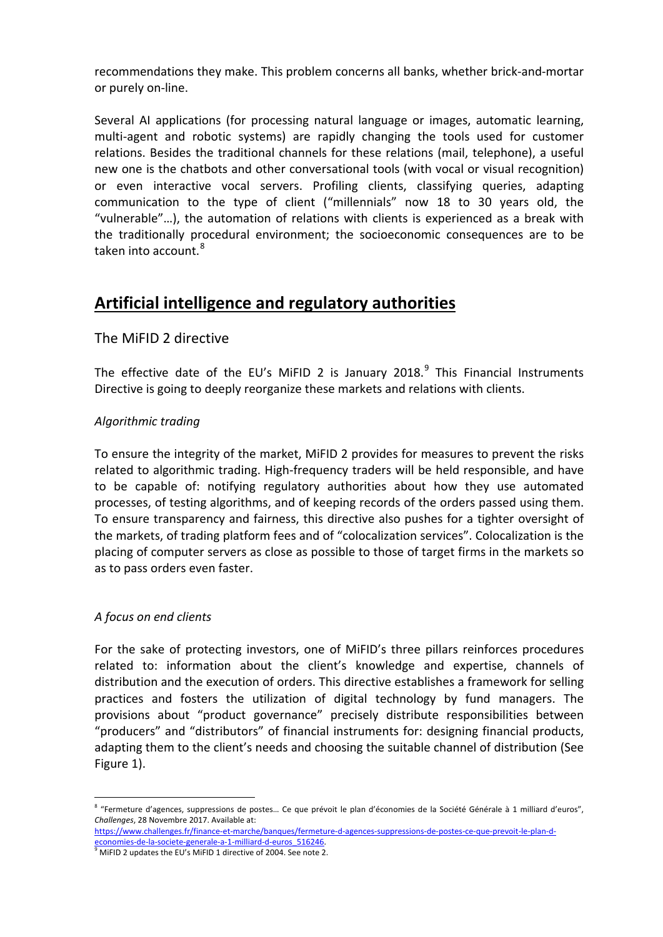recommendations they make. This problem concerns all banks, whether brick-and-mortar or purely on-line.

Several AI applications (for processing natural language or images, automatic learning, multi-agent and robotic systems) are rapidly changing the tools used for customer relations. Besides the traditional channels for these relations (mail, telephone), a useful new one is the chatbots and other conversational tools (with vocal or visual recognition) or even interactive vocal servers. Profiling clients, classifying queries, adapting communication to the type of client ("millennials" now 18 to 30 years old, the "vulnerable"…), the automation of relations with clients is experienced as a break with the traditionally procedural environment; the socioeconomic consequences are to be taken into account.<sup>[8](#page-3-0)</sup>

# **Artificial intelligence and regulatory authorities**

## The MiFID 2 directive

The effective date of the EU's MiFID 2 is January 2018.<sup>[9](#page-3-1)</sup> This Financial Instruments Directive is going to deeply reorganize these markets and relations with clients.

### *Algorithmic trading*

To ensure the integrity of the market, MiFID 2 provides for measures to prevent the risks related to algorithmic trading. High-frequency traders will be held responsible, and have to be capable of: notifying regulatory authorities about how they use automated processes, of testing algorithms, and of keeping records of the orders passed using them. To ensure transparency and fairness, this directive also pushes for a tighter oversight of the markets, of trading platform fees and of "colocalization services". Colocalization is the placing of computer servers as close as possible to those of target firms in the markets so as to pass orders even faster.

#### *A focus on end clients*

For the sake of protecting investors, one of MiFID's three pillars reinforces procedures related to: information about the client's knowledge and expertise, channels of distribution and the execution of orders. This directive establishes a framework for selling practices and fosters the utilization of digital technology by fund managers. The provisions about "product governance" precisely distribute responsibilities between "producers" and "distributors" of financial instruments for: designing financial products, adapting them to the client's needs and choosing the suitable channel of distribution (See Figure 1).

<span id="page-3-0"></span><sup>&</sup>lt;sup>8</sup> "Fermeture d'agences, suppressions de postes... Ce que prévoit le plan d'économies de la Société Générale à 1 milliard d'euros", *Challenges*, 28 Novembre 2017. Available at:

[https://www.challenges.fr/finance-et-marche/banques/fermeture-d-agences-suppressions-de-postes-ce-que-prevoit-le-plan-d](https://www.challenges.fr/finance-et-marche/banques/fermeture-d-agences-suppressions-de-postes-ce-que-prevoit-le-plan-d-economies-de-la-societe-generale-a-1-milliard-d-euros_516246)[economies-de-la-societe-generale-a-1-milliard-d-euros\\_516246.](https://www.challenges.fr/finance-et-marche/banques/fermeture-d-agences-suppressions-de-postes-ce-que-prevoit-le-plan-d-economies-de-la-societe-generale-a-1-milliard-d-euros_516246)

<span id="page-3-1"></span><sup>9</sup> MiFID 2 updates the EU's MiFID 1 directive of 2004. See note 2.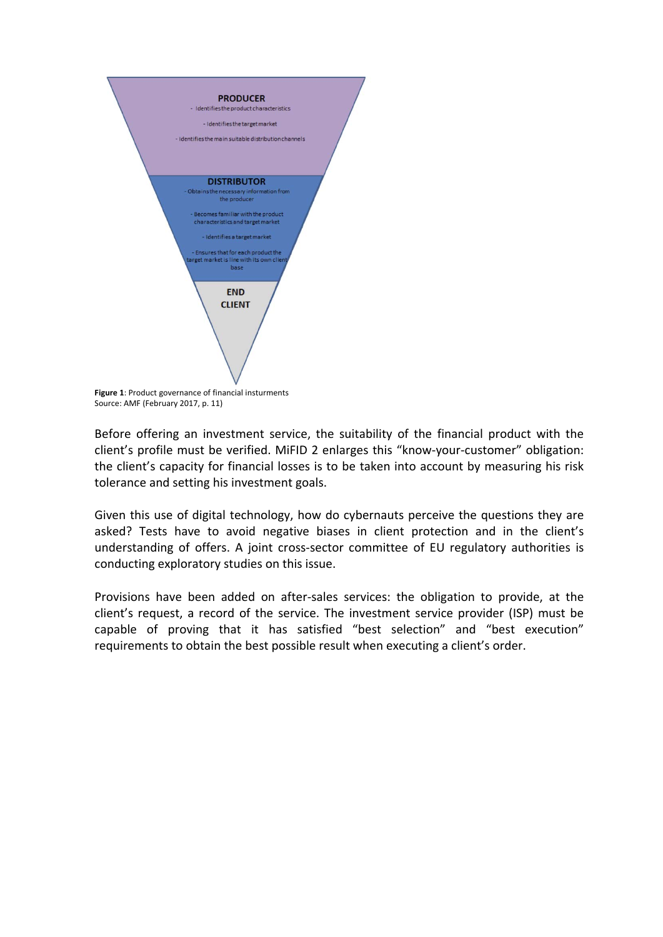

Source: AMF (February 2017, p. 11)

Before offering an investment service, the suitability of the financial product with the client's profile must be verified. MiFID 2 enlarges this "know-your-customer" obligation: the client's capacity for financial losses is to be taken into account by measuring his risk tolerance and setting his investment goals.

Given this use of digital technology, how do cybernauts perceive the questions they are asked? Tests have to avoid negative biases in client protection and in the client's understanding of offers. A joint cross-sector committee of EU regulatory authorities is conducting exploratory studies on this issue.

Provisions have been added on after-sales services: the obligation to provide, at the client's request, a record of the service. The investment service provider (ISP) must be capable of proving that it has satisfied "best selection" and "best execution" requirements to obtain the best possible result when executing a client's order.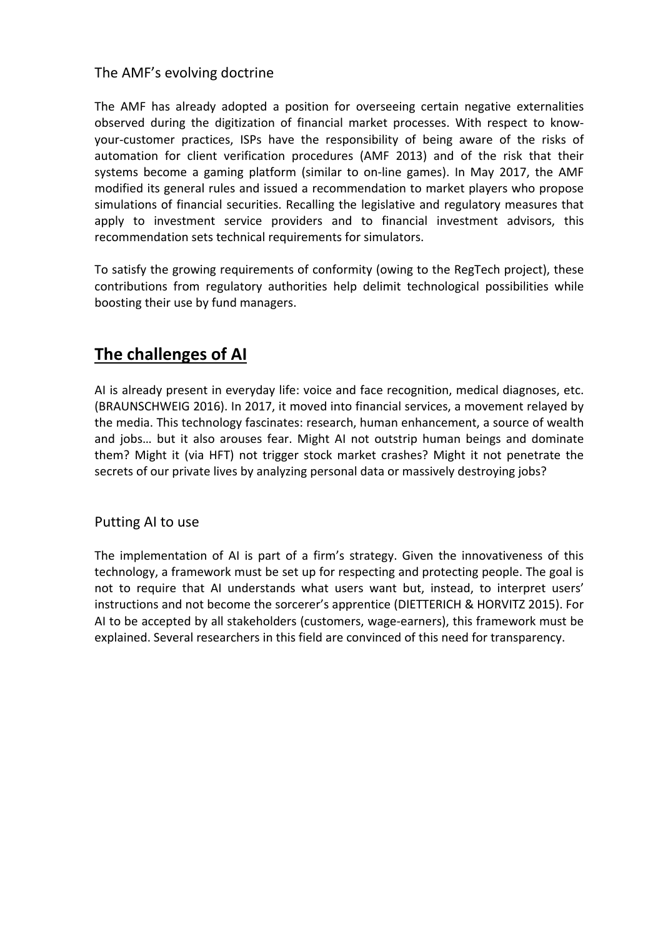## The AMF's evolving doctrine

The AMF has already adopted a position for overseeing certain negative externalities observed during the digitization of financial market processes. With respect to knowyour-customer practices, ISPs have the responsibility of being aware of the risks of automation for client verification procedures (AMF 2013) and of the risk that their systems become a gaming platform (similar to on-line games). In May 2017, the AMF modified its general rules and issued a recommendation to market players who propose simulations of financial securities. Recalling the legislative and regulatory measures that apply to investment service providers and to financial investment advisors, this recommendation sets technical requirements for simulators.

To satisfy the growing requirements of conformity (owing to the RegTech project), these contributions from regulatory authorities help delimit technological possibilities while boosting their use by fund managers.

# **The challenges of AI**

AI is already present in everyday life: voice and face recognition, medical diagnoses, etc. (BRAUNSCHWEIG 2016). In 2017, it moved into financial services, a movement relayed by the media. This technology fascinates: research, human enhancement, a source of wealth and jobs… but it also arouses fear. Might AI not outstrip human beings and dominate them? Might it (via HFT) not trigger stock market crashes? Might it not penetrate the secrets of our private lives by analyzing personal data or massively destroying jobs?

## Putting AI to use

The implementation of AI is part of a firm's strategy. Given the innovativeness of this technology, a framework must be set up for respecting and protecting people. The goal is not to require that AI understands what users want but, instead, to interpret users' instructions and not become the sorcerer's apprentice (DIETTERICH & HORVITZ 2015). For AI to be accepted by all stakeholders (customers, wage-earners), this framework must be explained. Several researchers in this field are convinced of this need for transparency.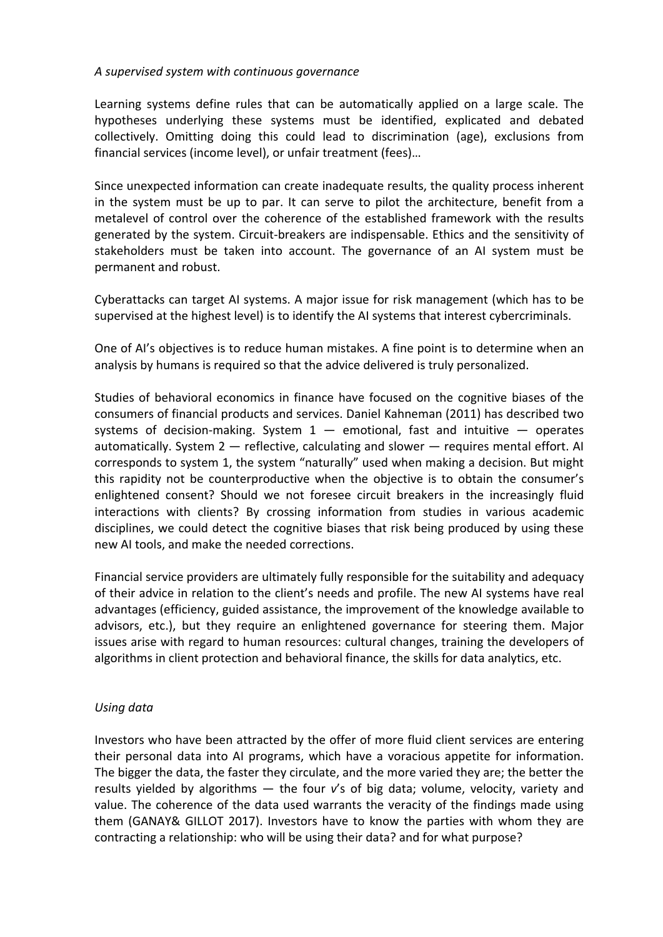#### *A supervised system with continuous governance*

Learning systems define rules that can be automatically applied on a large scale. The hypotheses underlying these systems must be identified, explicated and debated collectively. Omitting doing this could lead to discrimination (age), exclusions from financial services (income level), or unfair treatment (fees)…

Since unexpected information can create inadequate results, the quality process inherent in the system must be up to par. It can serve to pilot the architecture, benefit from a metalevel of control over the coherence of the established framework with the results generated by the system. Circuit-breakers are indispensable. Ethics and the sensitivity of stakeholders must be taken into account. The governance of an AI system must be permanent and robust.

Cyberattacks can target AI systems. A major issue for risk management (which has to be supervised at the highest level) is to identify the AI systems that interest cybercriminals.

One of AI's objectives is to reduce human mistakes. A fine point is to determine when an analysis by humans is required so that the advice delivered is truly personalized.

Studies of behavioral economics in finance have focused on the cognitive biases of the consumers of financial products and services. Daniel Kahneman (2011) has described two systems of decision-making. System  $1$  – emotional, fast and intuitive – operates automatically. System 2 — reflective, calculating and slower — requires mental effort. AI corresponds to system 1, the system "naturally" used when making a decision. But might this rapidity not be counterproductive when the objective is to obtain the consumer's enlightened consent? Should we not foresee circuit breakers in the increasingly fluid interactions with clients? By crossing information from studies in various academic disciplines, we could detect the cognitive biases that risk being produced by using these new AI tools, and make the needed corrections.

Financial service providers are ultimately fully responsible for the suitability and adequacy of their advice in relation to the client's needs and profile. The new AI systems have real advantages (efficiency, guided assistance, the improvement of the knowledge available to advisors, etc.), but they require an enlightened governance for steering them. Major issues arise with regard to human resources: cultural changes, training the developers of algorithms in client protection and behavioral finance, the skills for data analytics, etc.

#### *Using data*

Investors who have been attracted by the offer of more fluid client services are entering their personal data into AI programs, which have a voracious appetite for information. The bigger the data, the faster they circulate, and the more varied they are; the better the results yielded by algorithms — the four *v*'s of big data; volume, velocity, variety and value. The coherence of the data used warrants the veracity of the findings made using them (GANAY& GILLOT 2017). Investors have to know the parties with whom they are contracting a relationship: who will be using their data? and for what purpose?